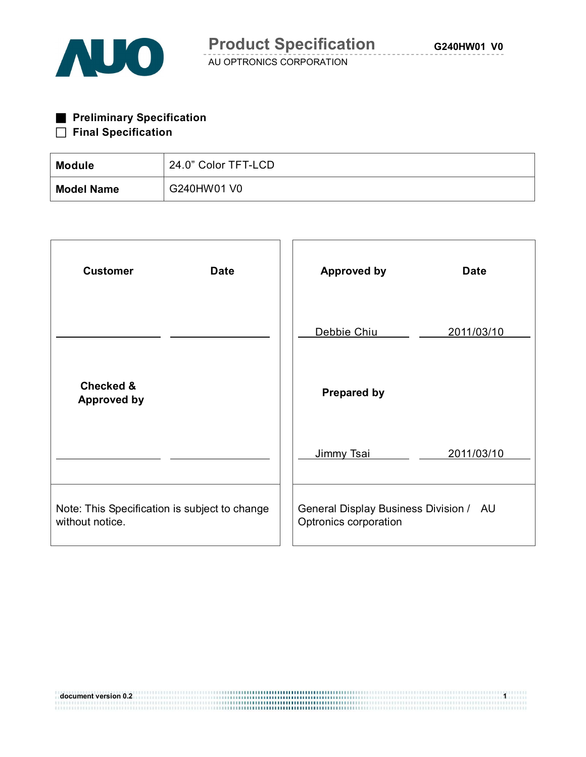

■ **Preliminary Specification** 

### □ **Final Specification**

| Module      | 24.0" Color TFT-LCD |
|-------------|---------------------|
| 'Model Name | G240HW01 V0         |

| <b>Customer</b><br><b>Date</b>                                   | <b>Approved by</b><br><b>Date</b>                               |
|------------------------------------------------------------------|-----------------------------------------------------------------|
|                                                                  | Debbie Chiu<br>2011/03/10                                       |
| <b>Checked &amp;</b><br><b>Approved by</b>                       | <b>Prepared by</b>                                              |
|                                                                  | Jimmy Tsai<br>2011/03/10                                        |
| Note: This Specification is subject to change<br>without notice. | General Display Business Division / AU<br>Optronics corporation |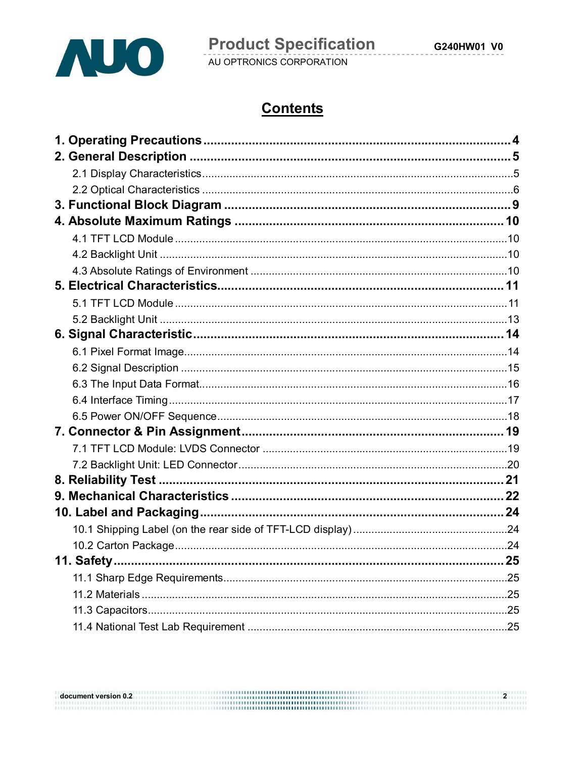

## **Contents**

| .25 |
|-----|
|     |
|     |
|     |

 $\begin{minipage}{0.9\linewidth} \textbf{document version 0.2} \end{minipage}$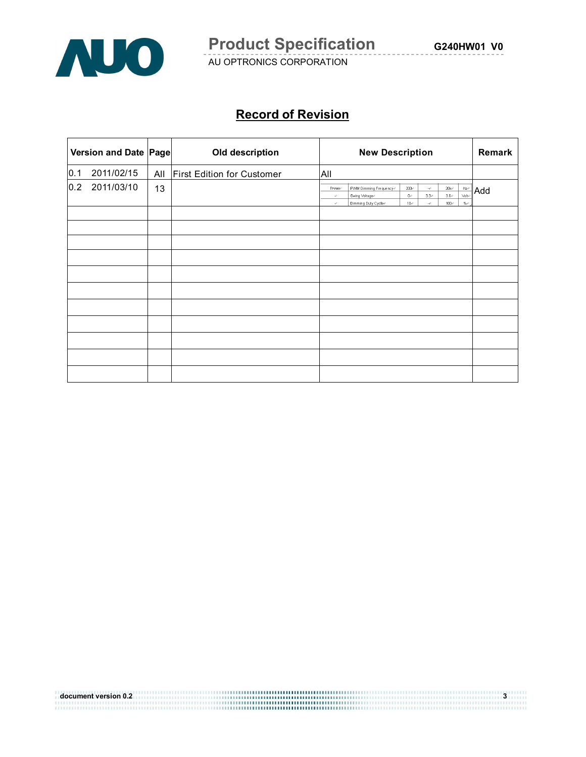

## **Record of Revision**

|     | Version and Date Page |    | Old description                | <b>New Description</b>               |                                                                 |                                 | Remark                     |                                |                          |     |
|-----|-----------------------|----|--------------------------------|--------------------------------------|-----------------------------------------------------------------|---------------------------------|----------------------------|--------------------------------|--------------------------|-----|
| 0.1 | 2011/02/15            |    | All First Edition for Customer | All                                  |                                                                 |                                 |                            |                                |                          |     |
| 0.2 | 2011/03/10            | 13 |                                | FPWMP<br>$\bar{\varphi}$<br>$\sigma$ | PWM Dimming Frequency®<br>Swing Voltage+<br>Dimming Duty Cycle- | $200\sigma$<br>$0\sigma$<br>10e | $\sim 0$<br>3.3e<br>$\sim$ | $20k$ e<br>$3.6\sigma$<br>100e | Hz<br>Volte<br>$\% \phi$ | Add |
|     |                       |    |                                |                                      |                                                                 |                                 |                            |                                |                          |     |
|     |                       |    |                                |                                      |                                                                 |                                 |                            |                                |                          |     |
|     |                       |    |                                |                                      |                                                                 |                                 |                            |                                |                          |     |
|     |                       |    |                                |                                      |                                                                 |                                 |                            |                                |                          |     |
|     |                       |    |                                |                                      |                                                                 |                                 |                            |                                |                          |     |
|     |                       |    |                                |                                      |                                                                 |                                 |                            |                                |                          |     |
|     |                       |    |                                |                                      |                                                                 |                                 |                            |                                |                          |     |
|     |                       |    |                                |                                      |                                                                 |                                 |                            |                                |                          |     |
|     |                       |    |                                |                                      |                                                                 |                                 |                            |                                |                          |     |
|     |                       |    |                                |                                      |                                                                 |                                 |                            |                                |                          |     |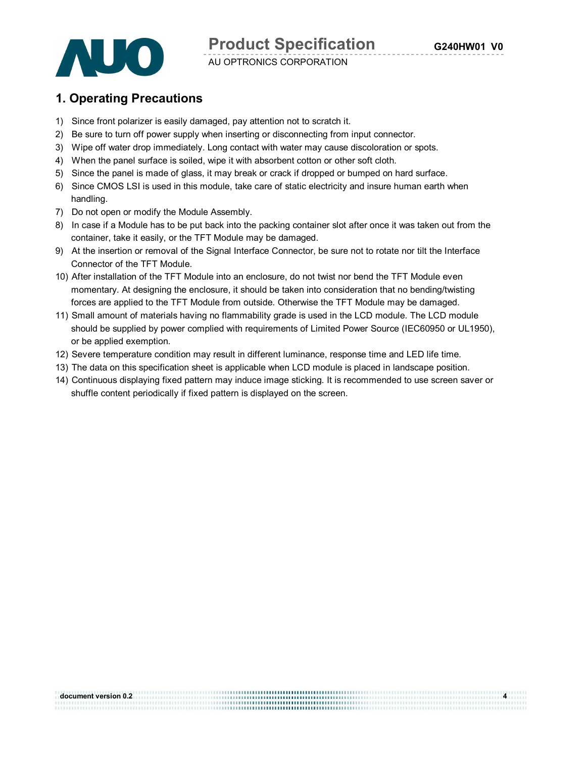

### **1. Operating Precautions**

- 1) Since front polarizer is easily damaged, pay attention not to scratch it.
- 2) Be sure to turn off power supply when inserting or disconnecting from input connector.
- 3) Wipe off water drop immediately. Long contact with water may cause discoloration or spots.
- 4) When the panel surface is soiled, wipe it with absorbent cotton or other soft cloth.
- 5) Since the panel is made of glass, it may break or crack if dropped or bumped on hard surface.
- 6) Since CMOS LSI is used in this module, take care of static electricity and insure human earth when handling.
- 7) Do not open or modify the Module Assembly.
- 8) In case if a Module has to be put back into the packing container slot after once it was taken out from the container, take it easily, or the TFT Module may be damaged.
- 9) At the insertion or removal of the Signal Interface Connector, be sure not to rotate nor tilt the Interface Connector of the TFT Module.
- 10) After installation of the TFT Module into an enclosure, do not twist nor bend the TFT Module even momentary. At designing the enclosure, it should be taken into consideration that no bending/twisting forces are applied to the TFT Module from outside. Otherwise the TFT Module may be damaged.
- 11) Small amount of materials having no flammability grade is used in the LCD module. The LCD module should be supplied by power complied with requirements of Limited Power Source (IEC60950 or UL1950), or be applied exemption.
- 12) Severe temperature condition may result in different luminance, response time and LED life time.

**document version 0.2 4**

- 13) The data on this specification sheet is applicable when LCD module is placed in landscape position.
- 14) Continuous displaying fixed pattern may induce image sticking. It is recommended to use screen saver or shuffle content periodically if fixed pattern is displayed on the screen.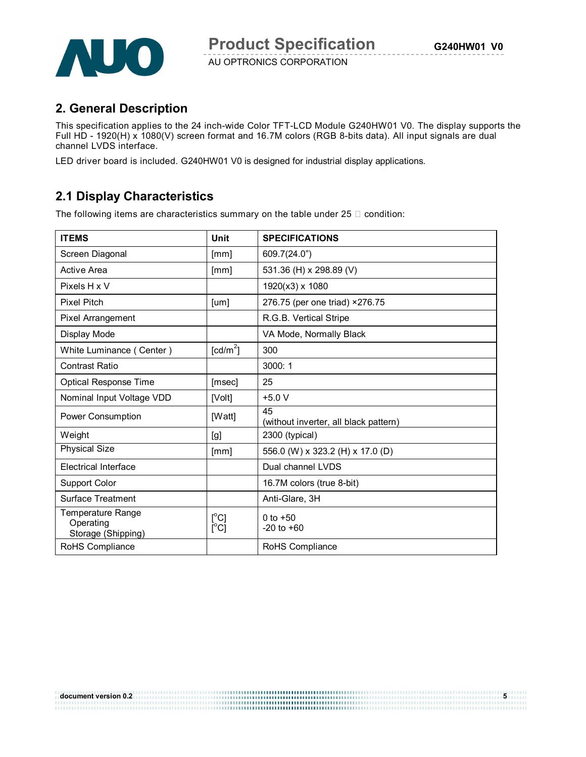

### **2. General Description**

This specification applies to the 24 inch-wide Color TFT-LCD Module G240HW01 V0. The display supports the Full HD - 1920(H) x 1080(V) screen format and 16.7M colors (RGB 8-bits data). All input signals are dual channel LVDS interface.

LED driver board is included. G240HW01 V0 is designed for industrial display applications.

### **2.1 Display Characteristics**

The following items are characteristics summary on the table under  $25 \Box$  condition:

| <b>ITEMS</b>                                                | <b>Unit</b>            | <b>SPECIFICATIONS</b>                       |
|-------------------------------------------------------------|------------------------|---------------------------------------------|
| Screen Diagonal                                             | [mm]                   | 609.7(24.0")                                |
| <b>Active Area</b>                                          | [mm]                   | 531.36 (H) x 298.89 (V)                     |
| Pixels H x V                                                |                        | 1920(x3) x 1080                             |
| <b>Pixel Pitch</b>                                          | [um]                   | 276.75 (per one triad) × 276.75             |
| Pixel Arrangement                                           |                        | R.G.B. Vertical Stripe                      |
| Display Mode                                                |                        | VA Mode, Normally Black                     |
| White Luminance (Center)                                    | $\lceil cd/m^2 \rceil$ | 300                                         |
| <b>Contrast Ratio</b>                                       |                        | 3000:1                                      |
| <b>Optical Response Time</b>                                | [msec]                 | 25                                          |
| Nominal Input Voltage VDD                                   | [Volt]                 | $+5.0 V$                                    |
| Power Consumption                                           | [Watt]                 | 45<br>(without inverter, all black pattern) |
| Weight                                                      | [g]                    | 2300 (typical)                              |
| <b>Physical Size</b>                                        | [mm]                   | 556.0 (W) x 323.2 (H) x 17.0 (D)            |
| Electrical Interface                                        |                        | Dual channel LVDS                           |
| <b>Support Color</b>                                        |                        | 16.7M colors (true 8-bit)                   |
| Surface Treatment                                           |                        | Anti-Glare, 3H                              |
| <b>Temperature Range</b><br>Operating<br>Storage (Shipping) | [°C]<br>$[^{\circ}C]$  | 0 to $+50$<br>$-20$ to $+60$                |
| RoHS Compliance                                             |                        | RoHS Compliance                             |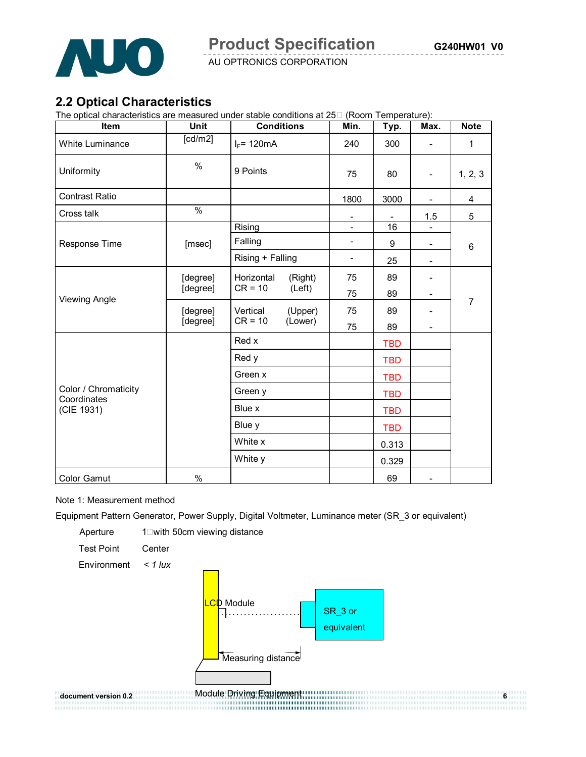

### **2.2 Optical Characteristics**

The optical characteristics are measured under stable conditions at  $25\Box$  (Room Temperature):

| Item                                | Unit                 | <b>Conditions</b>     | Min.                     | Typ.       | Max.                     | <b>Note</b>    |
|-------------------------------------|----------------------|-----------------------|--------------------------|------------|--------------------------|----------------|
| White Luminance                     | $\overline{[cd/m2]}$ | $I_F$ = 120mA         | 240                      | 300        |                          | 1              |
| Uniformity                          | $\%$                 | 9 Points              | 75                       | 80         | $\overline{\phantom{a}}$ | 1, 2, 3        |
| Contrast Ratio                      |                      |                       | 1800                     | 3000       | $\overline{\phantom{a}}$ | 4              |
| Cross talk                          | $\frac{9}{6}$        |                       |                          |            | 1.5                      | 5              |
|                                     |                      | Rising                | $\overline{\phantom{a}}$ | 16         | $\overline{\phantom{a}}$ |                |
| Response Time                       | [msec]               | Falling               | $\overline{\phantom{a}}$ | 9          |                          | $6\phantom{1}$ |
|                                     |                      | Rising + Falling      | $\overline{\phantom{a}}$ | 25         | $\overline{\phantom{a}}$ |                |
| <b>Viewing Angle</b>                | [degree]<br>[degree] | Horizontal<br>(Right) | 75                       | 89         |                          |                |
|                                     |                      | $CR = 10$<br>(Left)   | 75                       | 89         |                          |                |
|                                     | [degree]             | Vertical<br>(Upper)   | 75                       | 89         | $\overline{\phantom{0}}$ | $\overline{7}$ |
|                                     | [degree]             | $CR = 10$<br>(Lower)  | 75                       | 89         |                          |                |
|                                     |                      | Red x                 |                          | <b>TBD</b> |                          |                |
|                                     |                      | Red y                 |                          | <b>TBD</b> |                          |                |
|                                     |                      | Green x               |                          | <b>TBD</b> |                          |                |
| Color / Chromaticity<br>Coordinates |                      | Green y               |                          | <b>TBD</b> |                          |                |
| (CIE 1931)                          |                      | Blue x                |                          | <b>TBD</b> |                          |                |
|                                     |                      | Blue y                |                          | <b>TBD</b> |                          |                |
|                                     |                      | White x               |                          | 0.313      |                          |                |
|                                     |                      | White y               |                          | 0.329      |                          |                |
| <b>Color Gamut</b>                  | $\%$                 |                       |                          | 69         | $\overline{\phantom{a}}$ |                |

#### Note 1: Measurement method

Equipment Pattern Generator, Power Supply, Digital Voltmeter, Luminance meter (SR\_3 or equivalent)

Aperture  $1$   $\Box$  with 50cm viewing distance



document version 0.2 **Module Driving Equipment Information Container Container Container Container Container Co**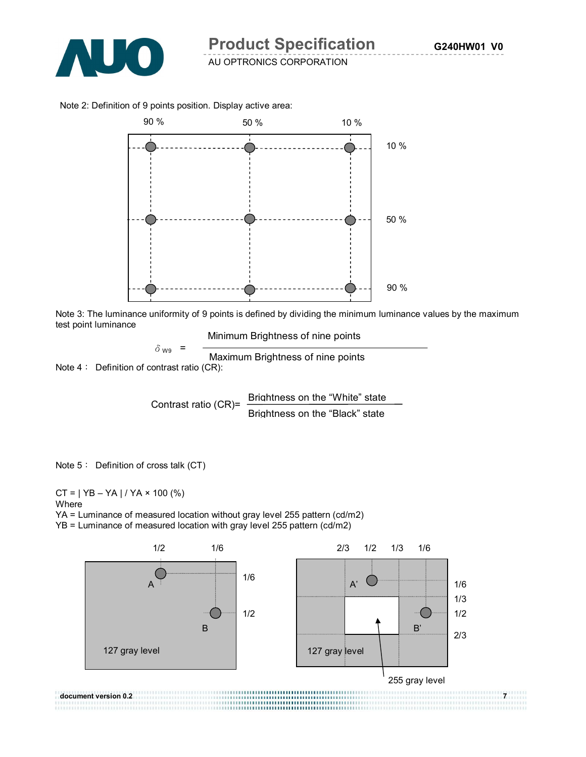

Note 2: Definition of 9 points position. Display active area:



Note 3: The luminance uniformity of 9 points is defined by dividing the minimum luminance values by the maximum test point luminance

Minimum Brightness of nine points

$$
\delta_{\text{W9}} = \frac{}{\text{Maximum Brightness of nine points}}
$$

Note 4: Definition of contrast ratio (CR):

Contrast ratio (CR)= Brightness on the "White" state Brightness on the "Black" state

Note 5: Definition of cross talk (CT)

 $CT = | YB - YA | / YA \times 100 (%)$ 

Where

YA = Luminance of measured location without gray level 255 pattern (cd/m2)

YB = Luminance of measured location with gray level 255 pattern (cd/m2)

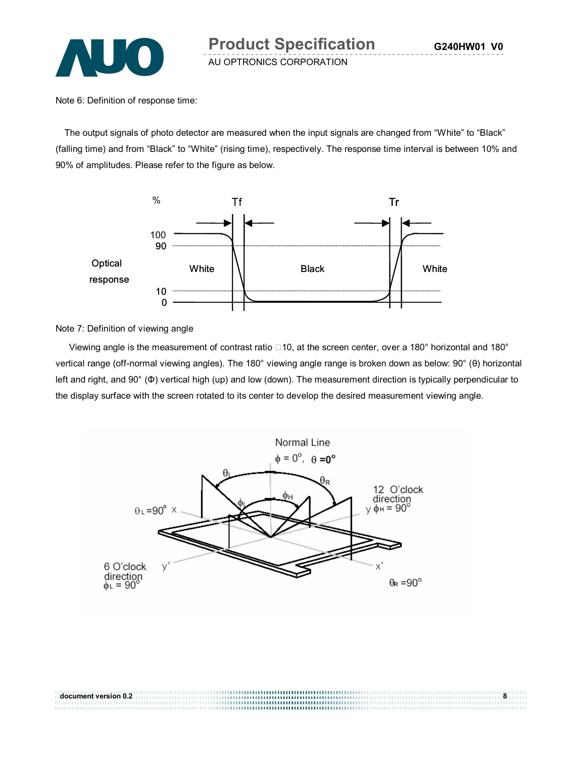

Note 6: Definition of response time:

The output signals of photo detector are measured when the input signals are changed from "White" to "Black" (falling time) and from "Black" to "White" (rising time), respectively. The response time interval is between 10% and 90% of amplitudes. Please refer to the figure as below.



Note 7: Definition of viewing angle

Viewing angle is the measurement of contrast ratio  $\Box$  10, at the screen center, over a 180° horizontal and 180° vertical range (off-normal viewing angles). The 180° viewing angle range is broken down as below: 90° (θ) horizontal left and right, and 90° (Φ) vertical high (up) and low (down). The measurement direction is typically perpendicular to the display surface with the screen rotated to its center to develop the desired measurement viewing angle.

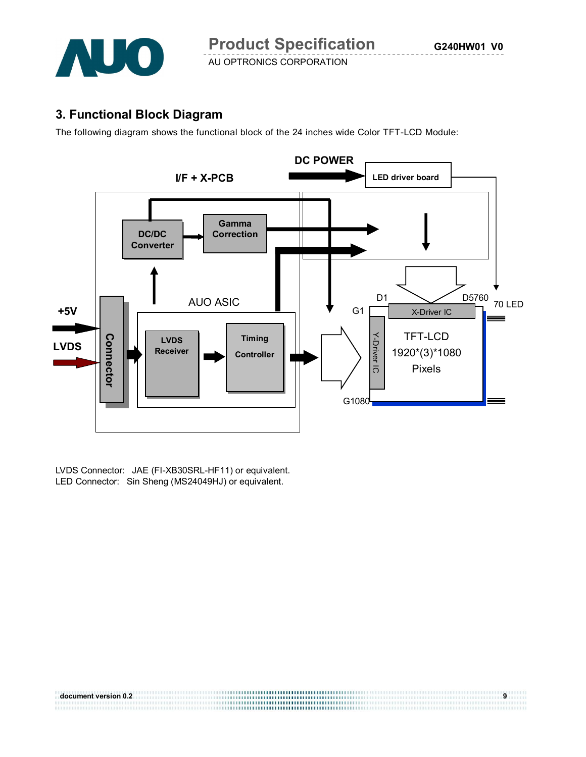

### **3. Functional Block Diagram**

The following diagram shows the functional block of the 24 inches wide Color TFT-LCD Module:



LVDS Connector: JAE (FI-XB30SRL-HF11) or equivalent.<br>LED Connector: Sin Sheng (MS24049HJ) or equivalent.

| document version 0.2 | м |
|----------------------|---|
|                      |   |
|                      |   |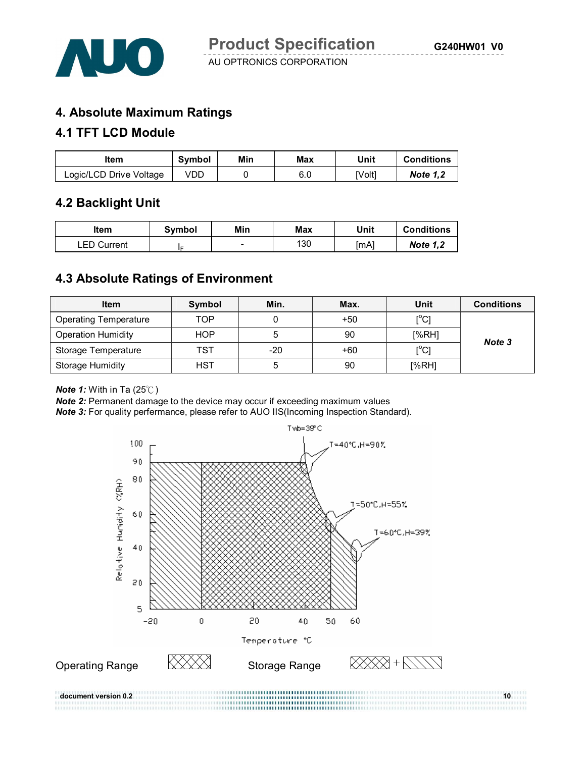

### **4. Absolute Maximum Ratings**

### **4.1 TFT LCD Module**

| ltem                    | <b>Symbol</b> | Min | Max | Unit   | <b>Conditions</b> |
|-------------------------|---------------|-----|-----|--------|-------------------|
| Logic/LCD Drive Voltage | VDD           |     | 6.0 | [Volt] | <b>Note 1.2</b>   |

### **4.2 Backlight Unit**

| ltem               | Svmbol | Min                      | Max | Unit | <b>Conditions</b> |
|--------------------|--------|--------------------------|-----|------|-------------------|
| <b>LED Current</b> |        | $\overline{\phantom{0}}$ | 130 | [mA] | <b>Note 1.2</b>   |

### **4.3 Absolute Ratings of Environment**

| <b>Item</b>                  | Symbol     | Min.  | Max.  | Unit                                    | <b>Conditions</b> |
|------------------------------|------------|-------|-------|-----------------------------------------|-------------------|
| <b>Operating Temperature</b> | TOP        |       | $+50$ | $\mathsf{I}^\circ\mathsf{C}$            |                   |
| <b>Operation Humidity</b>    | <b>HOP</b> | э     | 90    | [%RH]                                   | Note 3            |
| Storage Temperature          | TST        | $-20$ | $+60$ | $\mathsf{I}^\circ\mathsf{C} \mathsf{I}$ |                   |
| <b>Storage Humidity</b>      | <b>HST</b> | 5     | 90    | [%RH]                                   |                   |

#### *Note 1:* With in Ta (25℃)

**Note 2:** Permanent damage to the device may occur if exceeding maximum values

*Note 3:* For quality perfermance, please refer to AUO IIS(Incoming Inspection Standard).



**document version 0.2** 10<br>10 **10** 10 **11 12 13 14 15 16 17 18 18 19 10 11 12 13 14 15 16 17 18 17 18 17 18 17 18 17 18 18 19 10**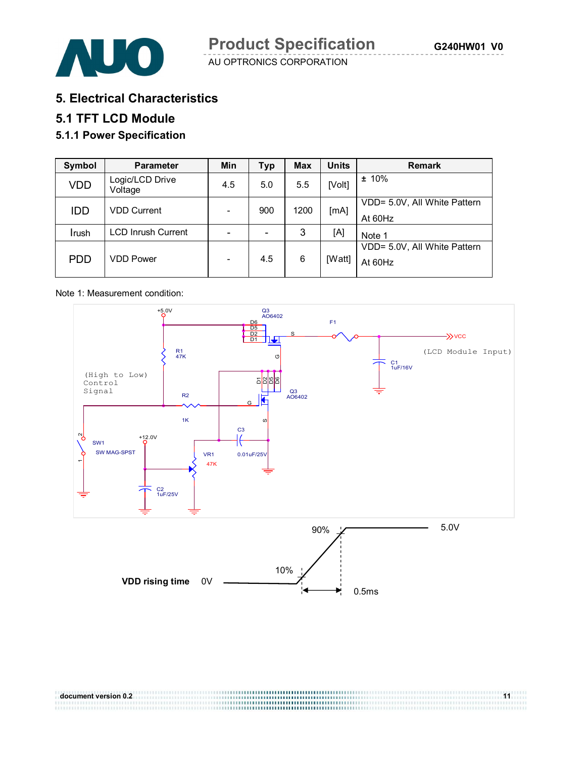

**5. Electrical Characteristics**

#### **5.1 TFT LCD Module**

#### **5.1.1 Power Specification**

| Symbol     | <b>Parameter</b>           | Min | <b>Typ</b> | <b>Max</b> | <b>Units</b> | <b>Remark</b>                           |
|------------|----------------------------|-----|------------|------------|--------------|-----------------------------------------|
| <b>VDD</b> | Logic/LCD Drive<br>Voltage | 4.5 | 5.0        | 5.5        | [Volt]       | ± 10%                                   |
| <b>IDD</b> | <b>VDD Current</b>         |     | 900        | 1200       | [MA]         | VDD= 5.0V, All White Pattern<br>At 60Hz |
| Irush      | <b>LCD Inrush Current</b>  |     |            | 3          | [A]          | Note 1                                  |
| <b>PDD</b> | VDD Power                  |     | 4.5        | 6          | [Watt]       | VDD= 5.0V, All White Pattern<br>At 60Hz |

#### Note 1: Measurement condition:



**document version 0.2**<br> **document version 0.2**<br> **document version 0.2**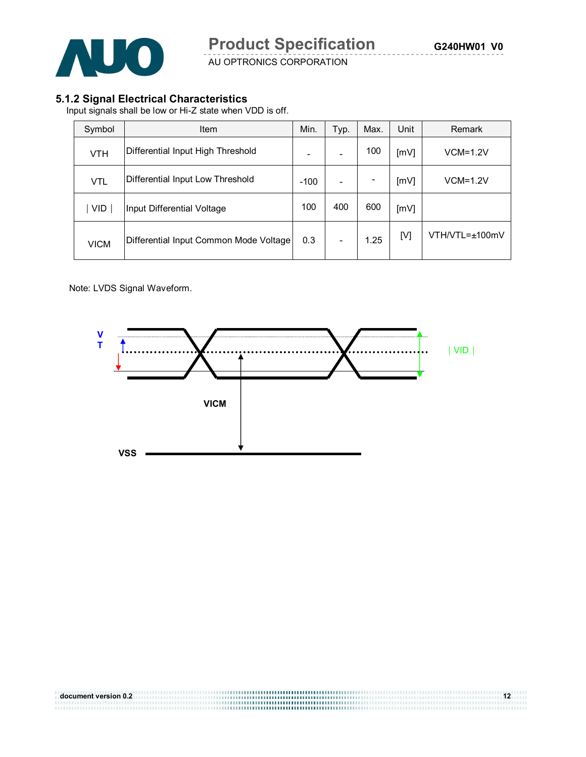

#### **5.1.2 Signal Electrical Characteristics**

Input signals shall be low or Hi-Z state when VDD is off.

| Symbol      | Item                                   | Min.   | Typ. | Max. | Unit | Remark         |
|-------------|----------------------------------------|--------|------|------|------|----------------|
| <b>VTH</b>  | Differential Input High Threshold      |        |      | 100  | [mV] | $VCM=1.2V$     |
| <b>VTL</b>  | Differential Input Low Threshold       | $-100$ |      |      | [mV] | $VCM=1.2V$     |
| <b>VID</b>  | Input Differential Voltage             | 100    | 400  | 600  | [mV] |                |
| <b>VICM</b> | Differential Input Common Mode Voltage | 0.3    |      | 1.25 | [V]  | VTH/VTL=±100mV |

Note: LVDS Signal Waveform.

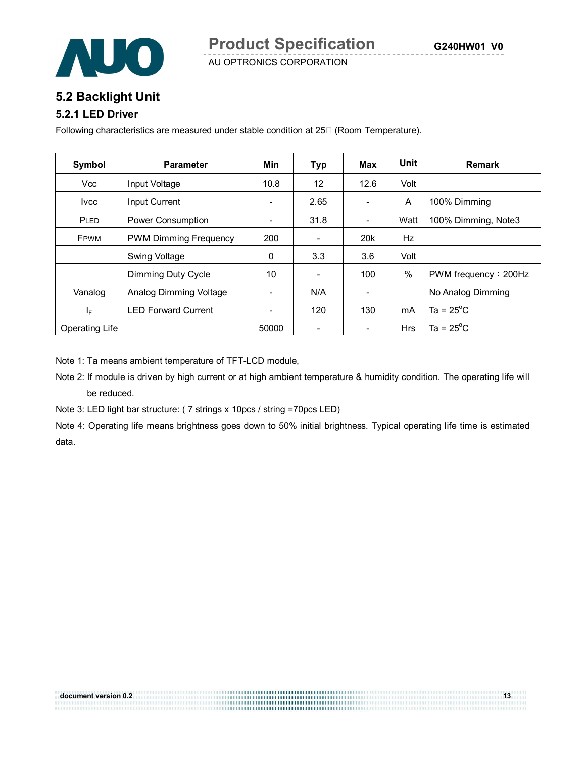

### **5.2 Backlight Unit**

#### **5.2.1 LED Driver**

Following characteristics are measured under stable condition at 25 $\square$  (Room Temperature).

| Symbol                | <b>Parameter</b>             | Min                      | <b>Typ</b>               | Max                      | Unit       | <b>Remark</b>        |
|-----------------------|------------------------------|--------------------------|--------------------------|--------------------------|------------|----------------------|
| <b>Vcc</b>            | Input Voltage                | 10.8                     | 12                       | 12.6                     | Volt       |                      |
| <b>Ivcc</b>           | Input Current                | ۰                        | 2.65                     | $\overline{\phantom{a}}$ | A          | 100% Dimming         |
| PLED                  | <b>Power Consumption</b>     | $\overline{\phantom{0}}$ | 31.8                     | $\overline{\phantom{a}}$ | Watt       | 100% Dimming, Note3  |
| FPWM                  | <b>PWM Dimming Frequency</b> | 200                      | $\overline{\phantom{a}}$ | 20 <sub>k</sub>          | Hz         |                      |
|                       | Swing Voltage                | 0                        | 3.3                      | 3.6                      | Volt       |                      |
|                       | Dimming Duty Cycle           | 10                       | $\overline{\phantom{a}}$ | 100                      | $\%$       | PWM frequency: 200Hz |
| Vanalog               | Analog Dimming Voltage       | -                        | N/A                      | -                        |            | No Analog Dimming    |
| ΙF                    | <b>LED Forward Current</b>   | $\overline{\phantom{0}}$ | 120                      | 130                      | mA         | Ta = $25^{\circ}$ C  |
| <b>Operating Life</b> |                              | 50000                    | ٠                        | ۰                        | <b>Hrs</b> | Ta = $25^{\circ}$ C  |

Note 1: Ta means ambient temperature of TFT-LCD module,

- Note 2: If module is driven by high current or at high ambient temperature & humidity condition. The operating life will be reduced.
- Note 3: LED light bar structure: ( 7 strings x 10pcs / string =70pcs LED)

Note 4: Operating life means brightness goes down to 50% initial brightness. Typical operating life time is estimated data.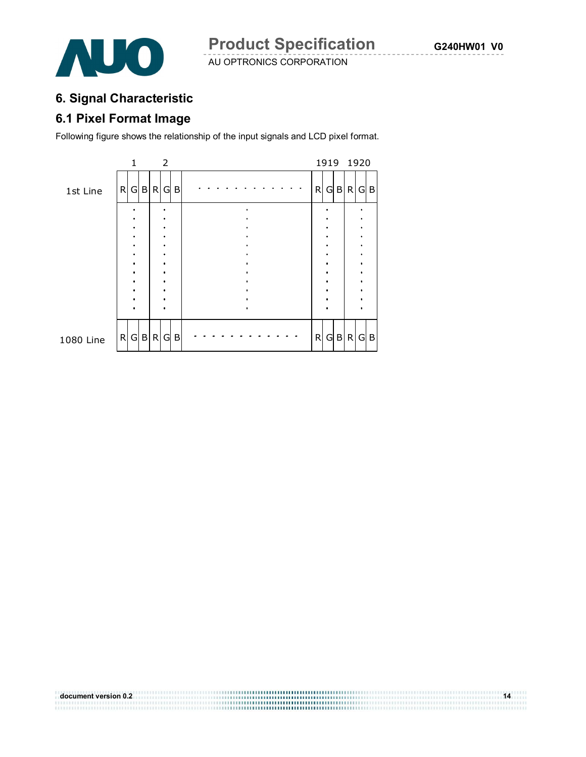**document version 0.2 14**



### **6. Signal Characteristic**

### **6.1 Pixel Format Image**

Following figure shows the relationship of the input signals and LCD pixel format.

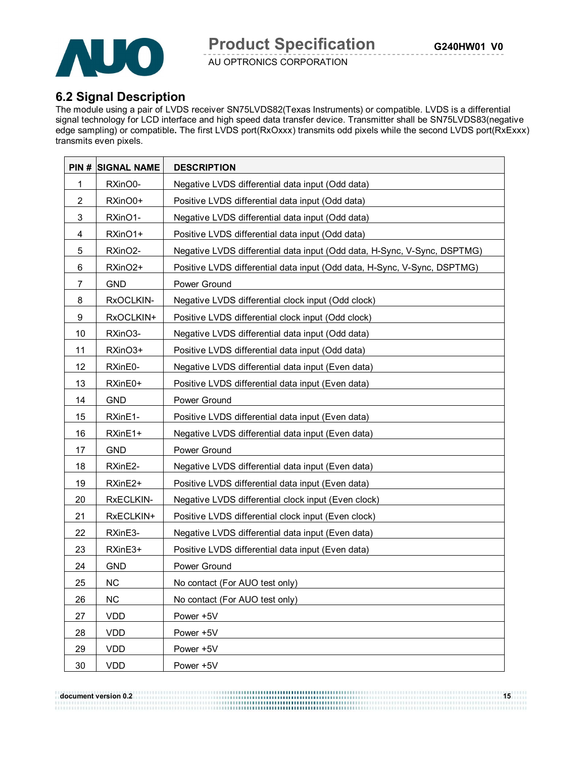

### **6.2 Signal Description**

The module using a pair of LVDS receiver SN75LVDS82(Texas Instruments) or compatible. LVDS is a differential signal technology for LCD interface and high speed data transfer device. Transmitter shall be SN75LVDS83(negative edge sampling) or compatible**.** The first LVDS port(RxOxxx) transmits odd pixels while the second LVDS port(RxExxx) transmits even pixels.

|                | <b>PIN # SIGNAL NAME</b> | <b>DESCRIPTION</b>                                                       |
|----------------|--------------------------|--------------------------------------------------------------------------|
| 1              | RXinO0-                  | Negative LVDS differential data input (Odd data)                         |
| $\overline{2}$ | RXinO0+                  | Positive LVDS differential data input (Odd data)                         |
| 3              | RXinO1-                  | Negative LVDS differential data input (Odd data)                         |
| 4              | RXinO1+                  | Positive LVDS differential data input (Odd data)                         |
| 5              | RXinO2-                  | Negative LVDS differential data input (Odd data, H-Sync, V-Sync, DSPTMG) |
| 6              | RXinO <sub>2+</sub>      | Positive LVDS differential data input (Odd data, H-Sync, V-Sync, DSPTMG) |
| 7              | <b>GND</b>               | Power Ground                                                             |
| 8              | RxOCLKIN-                | Negative LVDS differential clock input (Odd clock)                       |
| 9              | RxOCLKIN+                | Positive LVDS differential clock input (Odd clock)                       |
| 10             | RXinO3-                  | Negative LVDS differential data input (Odd data)                         |
| 11             | RXinO3+                  | Positive LVDS differential data input (Odd data)                         |
| 12             | RXinE0-                  | Negative LVDS differential data input (Even data)                        |
| 13             | RXinE0+                  | Positive LVDS differential data input (Even data)                        |
| 14             | <b>GND</b>               | Power Ground                                                             |
| 15             | RXinE1-                  | Positive LVDS differential data input (Even data)                        |
| 16             | RXinE1+                  | Negative LVDS differential data input (Even data)                        |
| 17             | <b>GND</b>               | Power Ground                                                             |
| 18             | RXinE2-                  | Negative LVDS differential data input (Even data)                        |
| 19             | RXinE2+                  | Positive LVDS differential data input (Even data)                        |
| 20             | RxECLKIN-                | Negative LVDS differential clock input (Even clock)                      |
| 21             | RxECLKIN+                | Positive LVDS differential clock input (Even clock)                      |
| 22             | RXinE3-                  | Negative LVDS differential data input (Even data)                        |
| 23             | RXinE3+                  | Positive LVDS differential data input (Even data)                        |
| 24             | GND                      | Power Ground                                                             |
| 25             | <b>NC</b>                | No contact (For AUO test only)                                           |
| 26             | NC                       | No contact (For AUO test only)                                           |
| 27             | <b>VDD</b>               | Power +5V                                                                |
| 28             | <b>VDD</b>               | Power +5V                                                                |
| 29             | <b>VDD</b>               | Power +5V                                                                |
| 30             | VDD                      | Power +5V                                                                |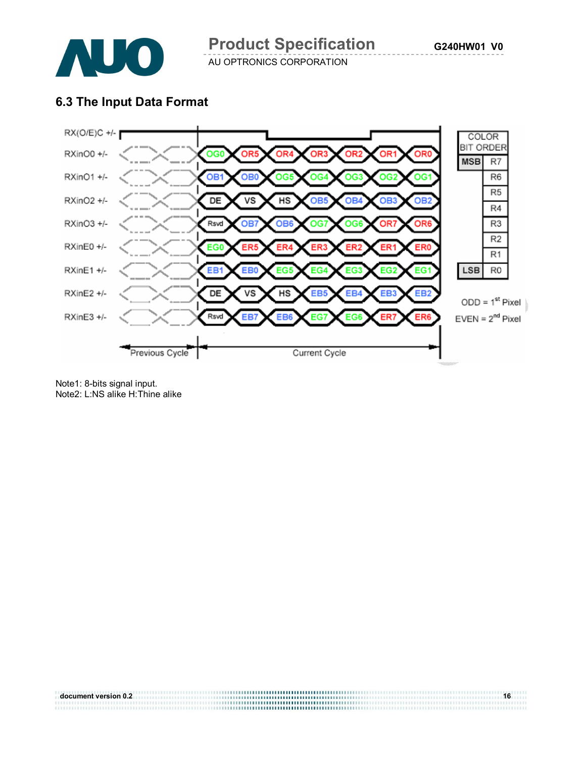

**Product Specification**

AU OPTRONICS CORPORATION

### **6.3 The Input Data Format**



Note1: 8-bits signal input. Note2: L:NS alike H:Thine alike

**document version 0.2** 16<br> **document version 0.2**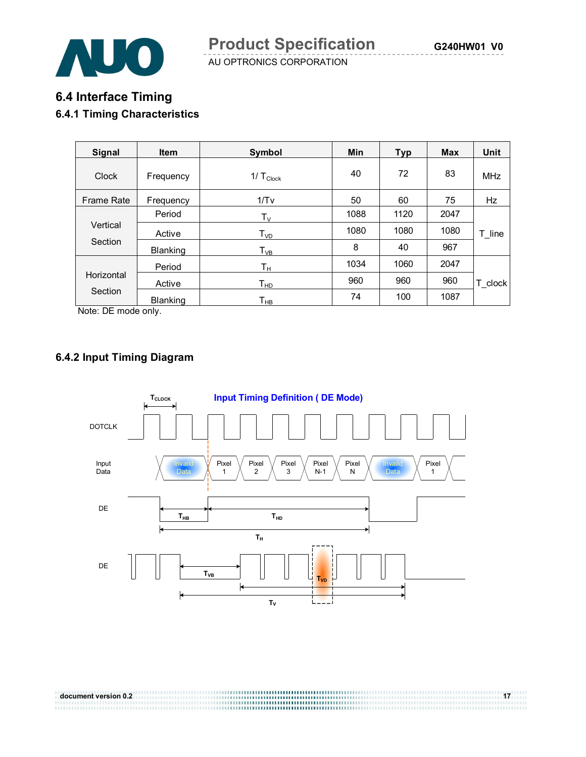**G240HW01 V0**



AU OPTRONICS CORPORATION

## **6.4 Interface Timing 6.4.1 Timing Characteristics**

| <b>Signal</b>     | <b>Item</b>     | Symbol                  | Min  | <b>Typ</b> | <b>Max</b> | Unit       |
|-------------------|-----------------|-------------------------|------|------------|------------|------------|
| <b>Clock</b>      | Frequency       | $1/\,T_{\text{Clock}}$  | 40   | 72         | 83         | <b>MHz</b> |
| <b>Frame Rate</b> | Frequency       | 1/Tv                    | 50   | 60         | 75         | Hz         |
|                   | Period          | $\mathsf{T}_\mathsf{V}$ | 1088 | 1120       | 2047       |            |
| Vertical          | Active          | T <sub>VD</sub>         | 1080 | 1080       | 1080       | T_line     |
| Section           | Blanking        | $T_{VB}$                | 8    | 40         | 967        |            |
|                   | Period          | Tн                      | 1034 | 1060       | 2047       |            |
| Horizontal        | Active          | T <sub>HD</sub>         | 960  | 960        | 960        | T_clock    |
| Section           | <b>Blanking</b> | $T_{HB}$                | 74   | 100        | 1087       |            |

Note: DE mode only.

### **6.4.2 Input Timing Diagram**



**document version 0.2** 17<br> **document version 0.2**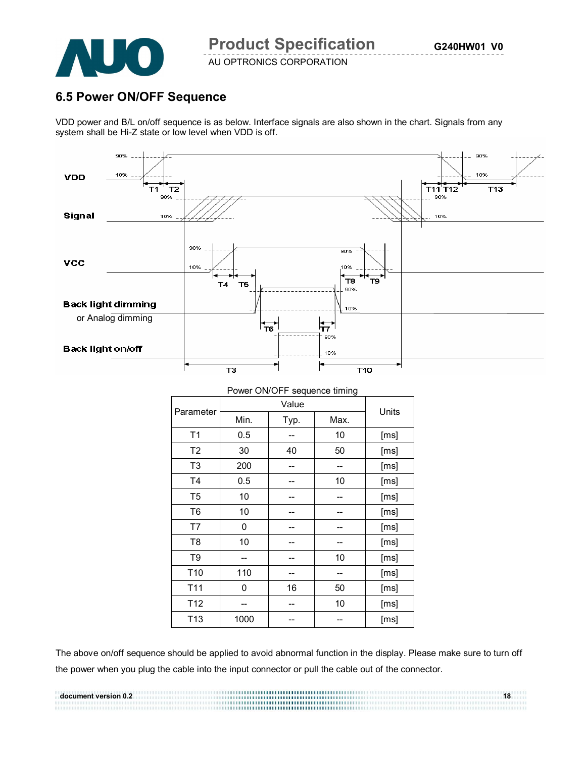

### **6.5 Power ON/OFF Sequence**

VDD power and B/L on/off sequence is as below. Interface signals are also shown in the chart. Signals from any system shall be Hi-Z state or low level when VDD is off.



| POWER UN/UFF Sequence timing |      |       |      |      |  |
|------------------------------|------|-------|------|------|--|
| Parameter                    |      | Units |      |      |  |
|                              | Min. | Typ.  | Max. |      |  |
| T <sub>1</sub>               | 0.5  |       | 10   | [ms] |  |
| T <sub>2</sub>               | 30   | 40    | 50   | [ms] |  |
| T <sub>3</sub>               | 200  |       |      | [ms] |  |
| T <sub>4</sub>               | 0.5  |       | 10   | [ms] |  |
| T5                           | 10   |       |      | [ms] |  |
| T <sub>6</sub>               | 10   |       |      | [ms] |  |
| T7                           | 0    |       |      | [ms] |  |
| T <sub>8</sub>               | 10   |       |      | [ms] |  |
| T <sub>9</sub>               |      |       | 10   | [ms] |  |
| T <sub>10</sub>              | 110  |       |      | [ms] |  |
| T11                          | 0    | 16    | 50   | [ms] |  |
| T <sub>12</sub>              |      |       | 10   | [ms] |  |
| T <sub>13</sub>              | 1000 |       |      | [ms] |  |

Power ON/OFF sequence timing

The above on/off sequence should be applied to avoid abnormal function in the display. Please make sure to turn off the power when you plug the cable into the input connector or pull the cable out of the connector.

**document version 0.2**<br>1888 - Communist Communist Communist Communist Communist Communist Communist Communist Communist Communist Comm<br>2009 - Communist Communist Communist Communist Communist Communist Communist Communist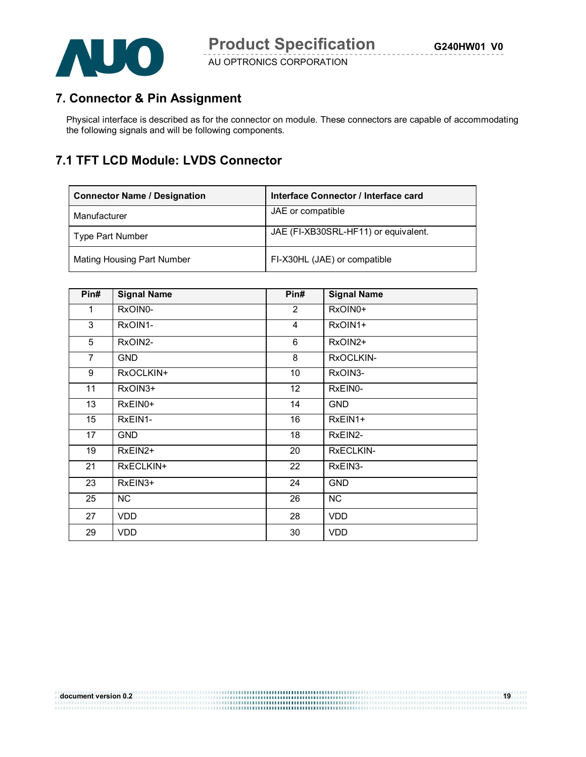

### **7. Connector & Pin Assignment**

Physical interface is described as for the connector on module. These connectors are capable of accommodating the following signals and will be following components.

### **7.1 TFT LCD Module: LVDS Connector**

| <b>Connector Name / Designation</b> | Interface Connector / Interface card |
|-------------------------------------|--------------------------------------|
| Manufacturer                        | JAE or compatible                    |
| <b>Type Part Number</b>             | JAE (FI-XB30SRL-HF11) or equivalent. |
| Mating Housing Part Number          | FI-X30HL (JAE) or compatible         |

| Pin#           | <b>Signal Name</b> | Pin#           | <b>Signal Name</b> |
|----------------|--------------------|----------------|--------------------|
| 1              | RxOIN0-            | $\overline{2}$ | RxOIN0+            |
| 3              | RxOIN1-            | 4              | RxOIN1+            |
| 5              | RxOIN2-            | 6              | RxOIN2+            |
| $\overline{7}$ | <b>GND</b>         | 8              | RxOCLKIN-          |
| 9              | RxOCLKIN+          | 10             | RxOIN3-            |
| 11             | RxOIN3+            | 12             | RxEIN0-            |
| 13             | RxEIN0+            | 14             | <b>GND</b>         |
| 15             | RxEIN1-            | 16             | RxEIN1+            |
| 17             | <b>GND</b>         | 18             | RxEIN2-            |
| 19             | RxEIN2+            | 20             | RxECLKIN-          |
| 21             | RxECLKIN+          | 22             | RxEIN3-            |
| 23             | RxEIN3+            | 24             | <b>GND</b>         |
| 25             | <b>NC</b>          | 26             | NC                 |
| 27             | VDD                | 28             | <b>VDD</b>         |
| 29             | <b>VDD</b>         | 30             | <b>VDD</b>         |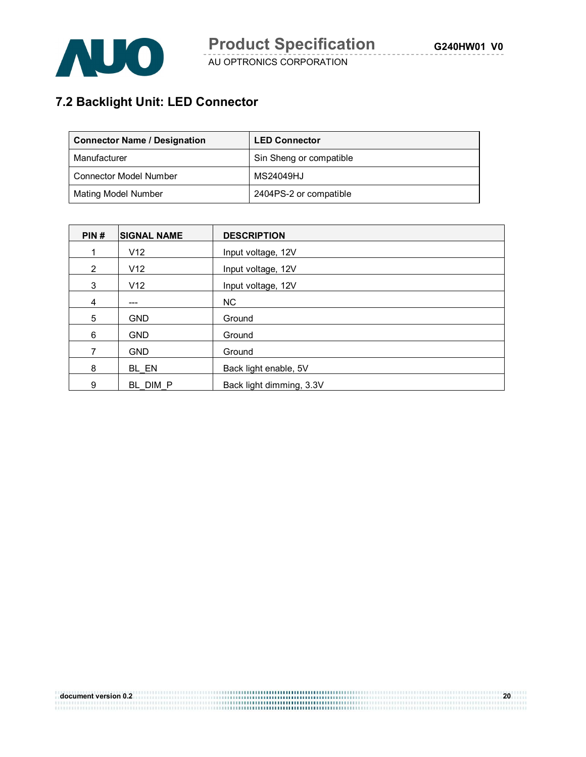

## **7.2 Backlight Unit: LED Connector**

| <b>Connector Name / Designation</b> | <b>LED Connector</b>    |
|-------------------------------------|-------------------------|
| Manufacturer                        | Sin Sheng or compatible |
| <b>Connector Model Number</b>       | MS24049HJ               |
| <b>Mating Model Number</b>          | 2404PS-2 or compatible  |

| PIN#           | <b>SIGNAL NAME</b> | <b>DESCRIPTION</b>       |
|----------------|--------------------|--------------------------|
| 1              | V12                | Input voltage, 12V       |
| $\overline{2}$ | V12                | Input voltage, 12V       |
| 3              | V12                | Input voltage, 12V       |
| 4              | ---                | NC.                      |
| 5              | <b>GND</b>         | Ground                   |
| 6              | <b>GND</b>         | Ground                   |
| 7              | <b>GND</b>         | Ground                   |
| 8              | BL EN              | Back light enable, 5V    |
| 9              | BL DIM P           | Back light dimming, 3.3V |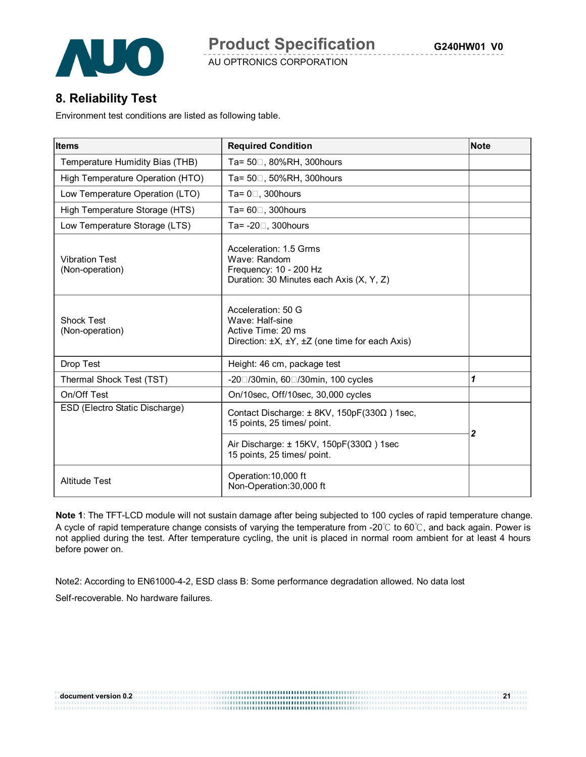

### **8. Reliability Test**

Environment test conditions are listed as following table.

| <b>Items</b>                             | <b>Required Condition</b>                                                                                                      | <b>Note</b>      |
|------------------------------------------|--------------------------------------------------------------------------------------------------------------------------------|------------------|
| Temperature Humidity Bias (THB)          | Ta= 50□, 80%RH, 300hours                                                                                                       |                  |
| High Temperature Operation (HTO)         | Ta= 50□, 50%RH, 300hours                                                                                                       |                  |
| Low Temperature Operation (LTO)          | Ta= $0$ $\Box$ , 300hours                                                                                                      |                  |
| High Temperature Storage (HTS)           | Ta= $60\degree$ , 300 hours                                                                                                    |                  |
| Low Temperature Storage (LTS)            | Ta= -20□, 300hours                                                                                                             |                  |
| <b>Vibration Test</b><br>(Non-operation) | Acceleration: 1.5 Grms<br>Wave: Random<br>Frequency: 10 - 200 Hz<br>Duration: 30 Minutes each Axis (X, Y, Z)                   |                  |
| <b>Shock Test</b><br>(Non-operation)     | Acceleration: 50 G<br>Wave: Half-sine<br>Active Time: 20 ms<br>Direction: $\pm X$ , $\pm Y$ , $\pm Z$ (one time for each Axis) |                  |
| Drop Test                                | Height: 46 cm, package test                                                                                                    |                  |
| Thermal Shock Test (TST)                 | -20□/30min, 60□/30min, 100 cycles                                                                                              | 1                |
| On/Off Test                              | On/10sec, Off/10sec, 30,000 cycles                                                                                             |                  |
| ESD (Electro Static Discharge)           | Contact Discharge: $\pm$ 8KV, 150pF(330 $\Omega$ ) 1sec,<br>15 points, 25 times/ point.                                        | $\boldsymbol{2}$ |
|                                          | Air Discharge: $\pm$ 15KV, 150pF(330 $\Omega$ ) 1sec<br>15 points, 25 times/ point.                                            |                  |
| <b>Altitude Test</b>                     | Operation: 10,000 ft<br>Non-Operation:30,000 ft                                                                                |                  |

**Note 1**: The TFT-LCD module will not sustain damage after being subjected to 100 cycles of rapid temperature change. A cycle of rapid temperature change consists of varying the temperature from -20℃ to 60℃, and back again. Power is not applied during the test. After temperature cycling, the unit is placed in normal room ambient for at least 4 hours before power on.

Note2: According to EN61000-4-2, ESD class B: Some performance degradation allowed. No data lost Self-recoverable. No hardware failures.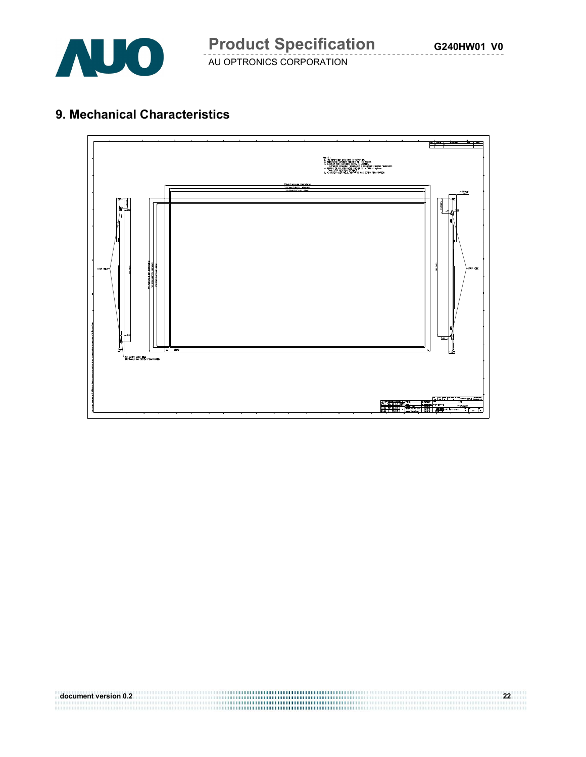

## **9. Mechanical Characteristics**



**document version 0.2** 22<br> **document version 0.2** 22<br> **document version 0.2**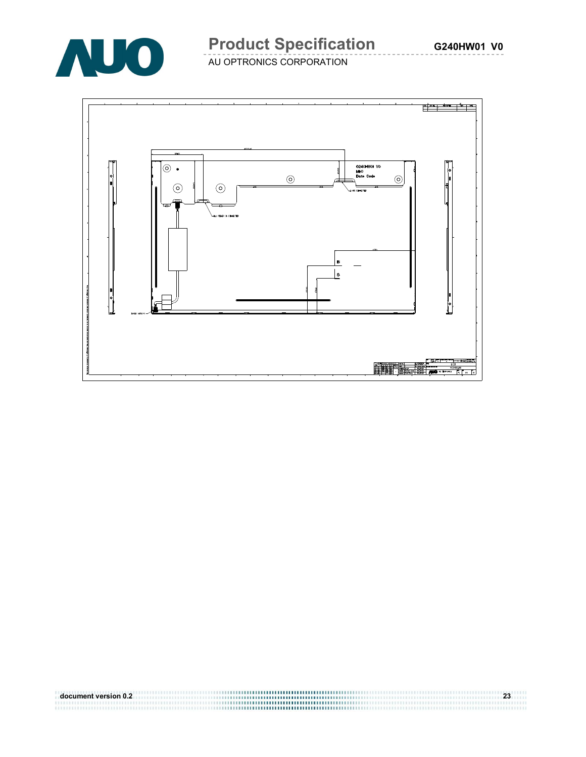

# **Product Specification**

AU OPTRONICS CORPORATION

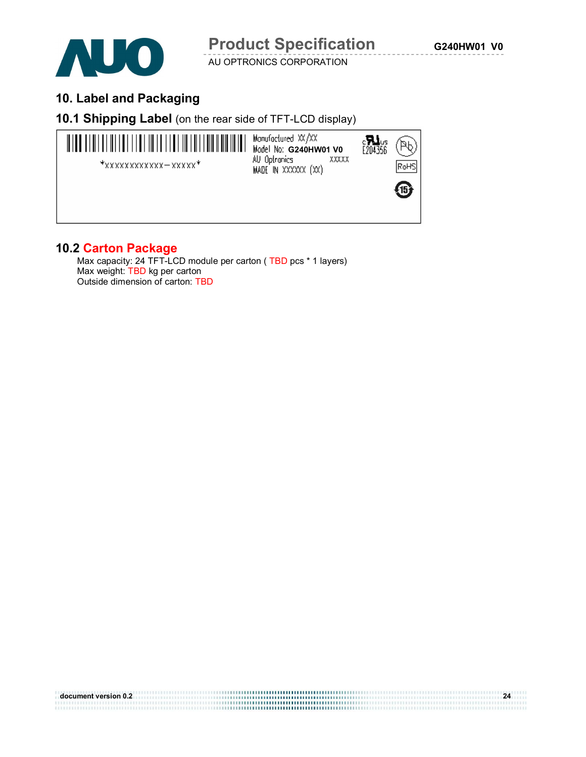

## **10. Label and Packaging**

#### **10.1 Shipping Label** (on the rear side of TFT-LCD display)



#### **10.2 Carton Package**

Max capacity: 24 TFT-LCD module per carton ( TBD pcs \* 1 layers) Max weight: TBD kg per carton Outside dimension of carton: TBD